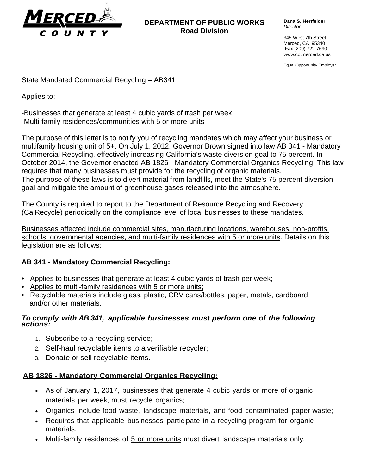

#### **DEPARTMENT OF PUBLIC WORKS Road Division**

**Dana S. Hertfelder** *Director*

345 West 7th Street Merced, CA 95340 Fax (209) 722-7690 www.co.merced.ca.us

Equal Opportunity Employer

State Mandated Commercial Recycling – AB341

Applies to:

-Businesses that generate at least 4 cubic yards of trash per week -Multi-family residences/communities with 5 or more units

The purpose of this letter is to notify you of recycling mandates which may affect your business or multifamily housing unit of 5+. On July 1, 2012, Governor Brown signed into law AB 341 - Mandatory Commercial Recycling, effectively increasing California's waste diversion goal to 75 percent. In October 2014, the Governor enacted AB 1826 - Mandatory Commercial Organics Recycling. This law requires that many businesses must provide for the recycling of organic materials. The purpose of these laws is to divert material from landfills, meet the State's 75 percent diversion goal and mitigate the amount of greenhouse gases released into the atmosphere.

The County is required to report to the Department of Resource Recycling and Recovery (CalRecycle) periodically on the compliance level of local businesses to these mandates.

Businesses affected include commercial sites, manufacturing locations, warehouses, non-profits, schools, governmental agencies, and multi-family residences with 5 or more units. Details on this legislation are as follows:

## **AB 341 - Mandatory Commercial Recycling:**

- Applies to businesses that generate at least 4 cubic yards of trash per week;
- Applies to multi-family residences with 5 or more units;
- Recyclable materials include glass, plastic, CRV cans/bottles, paper, metals, cardboard and/or other materials.

# *To comply with AB 341, applicable businesses must perform one of the following actions:*

- 1. Subscribe to a recycling service;
- 2. Self-haul recyclable items to a verifiable recycler;
- 3. Donate or sell recyclable items.

## **AB 1826 - Mandatory Commercial Organics Recycling:**

- As of January 1, 2017, businesses that generate 4 cubic yards or more of organic materials per week, must recycle organics;
- Organics include food waste, landscape materials, and food contaminated paper waste;
- Requires that applicable businesses participate in a recycling program for organic materials;
- Multi-family residences of 5 or more units must divert landscape materials only.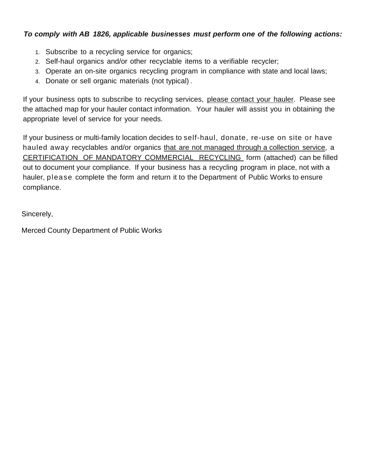#### *To comply with AB 1826, applicable businesses must perform one of the following actions:*

- 1. Subscribe to a recycling service for organics;
- 2. Self-haul organics and/or other recyclable items to a verifiable recycler;
- 3. Operate an on-site organics recycling program in compliance with state and local laws;
- 4. Donate or sell organic materials (not typical) .

If your business opts to subscribe to recycling services, please contact your hauler. Please see the attached map for your hauler contact information. Your hauler will assist you in obtaining the appropriate level of service for your needs.

If your business or multi-family location decides to self-haul, donate, re-use on site or have hauled away recyclables and/or organics that are not managed through a collection service, a CERTIFICATION OF MANDATORY COMMERCIAL RECYCLING form (attached) can be filled out to document your compliance. If your business has a recycling program in place, not with a hauler, please complete the form and return it to the Department of Public Works to ensure compliance.

Sincerely,

Merced County Department of Public Works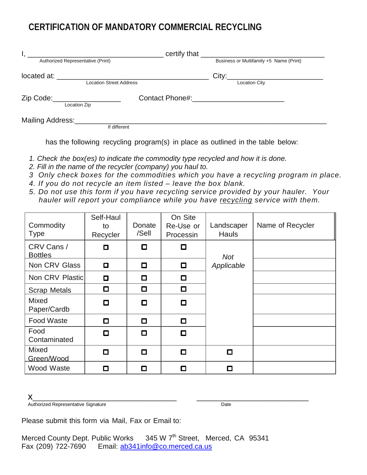## **CERTIFICATION OF MANDATORY COMMERCIAL RECYCLING**

| Authorized Representative (Print)             |                        | certify that <b>Example 2018 CERTIFY</b> that<br>Business or Multifamily +5 Name (Print) |  |
|-----------------------------------------------|------------------------|------------------------------------------------------------------------------------------|--|
| located at:<br><b>Location Street Address</b> |                        | City:<br><b>Location City</b>                                                            |  |
| Zip Code:<br>Location Zip                     | <b>Contact Phone#:</b> |                                                                                          |  |
| Mailing Address:                              | If different           |                                                                                          |  |

has the following recycling program(s) in place as outlined in the table below:

- *1. Check the box(es) to indicate the commodity type recycled and how it is done.*
- *2. Fill in the name of the recycler (company) you haul to.*
- *3 Only check boxes for the commodities which you have a recycling program in place.*
- *4. If you do not recycle an item listed – leave the box blank.*
- *5. Do not use this form if you have recycling service provided by your hauler. Your hauler will report your compliance while you have recycling service with them.*

| Commodity<br><b>Type</b>     | Self-Haul<br>to<br>Recycler | Donate<br>/Sell | On Site<br>Re-Use or<br>Processin | Landscaper<br><b>Hauls</b> | Name of Recycler |
|------------------------------|-----------------------------|-----------------|-----------------------------------|----------------------------|------------------|
| CRV Cans /<br><b>Bottles</b> | D                           | О               | О                                 | <b>Not</b>                 |                  |
| Non CRV Glass                | О                           | О               | О                                 | Applicable                 |                  |
| Non CRV Plastic              | О                           | О               | О                                 |                            |                  |
| <b>Scrap Metals</b>          | О                           | О               | О                                 |                            |                  |
| <b>Mixed</b><br>Paper/Cardb  | О                           | О               | О                                 |                            |                  |
| <b>Food Waste</b>            | О                           | О               | О                                 |                            |                  |
| Food<br>Contaminated         | О                           | О               | О                                 |                            |                  |
| <b>Mixed</b><br>Green/Wood   | п                           | О               | О                                 | О                          |                  |
| Wood Waste                   | П                           | О               | □                                 | О                          |                  |

x\_\_\_\_\_\_\_\_\_\_\_\_\_\_\_\_\_\_\_\_\_\_\_\_\_\_\_\_\_\_\_\_\_\_\_\_ \_\_\_\_\_\_\_\_\_\_\_\_\_\_\_\_\_\_\_\_\_\_\_\_\_\_\_\_ Authorized Representative Signature **Date** 

Please submit this form via Mail, Fax or Email to: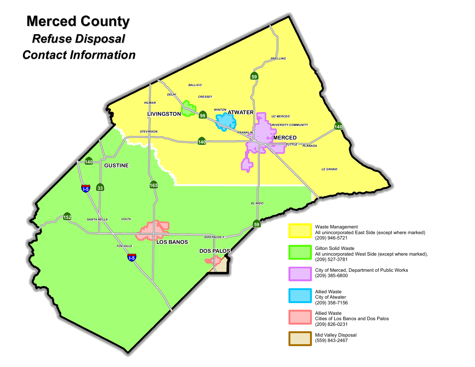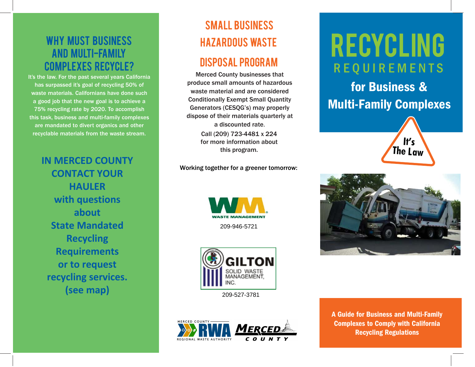## WHY MUST BUSINESS and Multi-Family Complexes Recycle?

It's the law. For the past several years California has surpassed it's goal of recycling 50% of waste materials. Californians have done such a good job that the new goal is to achieve a 75% recycling rate by 2020. To accomplish this task, business and multi-family complexes are mandated to divert organics and other recyclable materials from the waste stream.

> **IN MERCED COUNTY CONTACT YOUR HAULER with questions about State Mandated Recycling Requirements or to request recycling services.(see map)**

## SMALL BUSINESS HAZARDOUS WASTE

## DISPOSAL PROGRAM

 Merced County businesses that produce small amounts of hazardous waste material and are considered Conditionally Exempt Small Quantity Generators (CESQG's) may properly dispose of their materials quarterly at a discounted rate.Call (209) 723-4481 x 224 for more information about this program.

#### Working together for a greener tomorrow:



209-946-5721



209-527-3781



# REQUIREMENTS Recycling

**for Business &Multi-Family Complexes**





**A Guide for Business and Multi-Family Complexes to Comply with California Recycling Regulations**